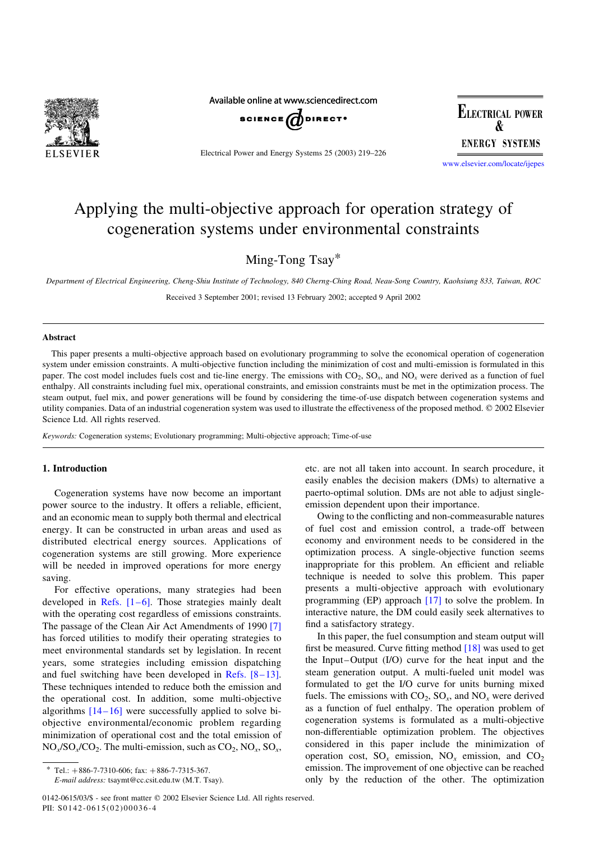

Available online at www.sciencedirect.com



Electrical Power and Energy Systems 25 (2003) 219–226

**ELECTRICAL POWER ENERGY SYSTEMS** 

[www.elsevier.com/locate/ijepes](http://www.elsevier.com/locate/ijepes)

# Applying the multi-objective approach for operation strategy of cogeneration systems under environmental constraints

Ming-Tong Tsay\*

Department of Electrical Engineering, Cheng-Shiu Institute of Technology, 840 Cherng-Ching Road, Neau-Song Country, Kaohsiung 833, Taiwan, ROC Received 3 September 2001; revised 13 February 2002; accepted 9 April 2002

## Abstract

This paper presents a multi-objective approach based on evolutionary programming to solve the economical operation of cogeneration system under emission constraints. A multi-objective function including the minimization of cost and multi-emission is formulated in this paper. The cost model includes fuels cost and tie-line energy. The emissions with  $CO_2$ ,  $SO_x$ , and  $NO_x$  were derived as a function of fuel enthalpy. All constraints including fuel mix, operational constraints, and emission constraints must be met in the optimization process. The steam output, fuel mix, and power generations will be found by considering the time-of-use dispatch between cogeneration systems and utility companies. Data of an industrial cogeneration system was used to illustrate the effectiveness of the proposed method. © 2002 Elsevier Science Ltd. All rights reserved.

Keywords: Cogeneration systems; Evolutionary programming; Multi-objective approach; Time-of-use

#### 1. Introduction

Cogeneration systems have now become an important power source to the industry. It offers a reliable, efficient, and an economic mean to supply both thermal and electrical energy. It can be constructed in urban areas and used as distributed electrical energy sources. Applications of cogeneration systems are still growing. More experience will be needed in improved operations for more energy saving.

For effective operations, many strategies had been developed in Refs.  $[1-6]$ . Those strategies mainly dealt with the operating cost regardless of emissions constraints. The passage of the Clean Air Act Amendments of 1990 [\[7\]](#page--1-0) has forced utilities to modify their operating strategies to meet environmental standards set by legislation. In recent years, some strategies including emission dispatching and fuel switching have been developed in [Refs. \[8–13\]](#page--1-0). These techniques intended to reduce both the emission and the operational cost. In addition, some multi-objective algorithms  $[14-16]$  were successfully applied to solve biobjective environmental/economic problem regarding minimization of operational cost and the total emission of  $NO<sub>x</sub>/SO<sub>x</sub>/CO<sub>2</sub>$ . The multi-emission, such as  $CO<sub>2</sub>$ ,  $NO<sub>x</sub>$ ,  $SO<sub>x</sub>$ ,

etc. are not all taken into account. In search procedure, it easily enables the decision makers (DMs) to alternative a paerto-optimal solution. DMs are not able to adjust singleemission dependent upon their importance.

Owing to the conflicting and non-commeasurable natures of fuel cost and emission control, a trade-off between economy and environment needs to be considered in the optimization process. A single-objective function seems inappropriate for this problem. An efficient and reliable technique is needed to solve this problem. This paper presents a multi-objective approach with evolutionary programming (EP) approach [\[17\]](#page--1-0) to solve the problem. In interactive nature, the DM could easily seek alternatives to find a satisfactory strategy.

In this paper, the fuel consumption and steam output will first be measured. Curve fitting method [\[18\]](#page--1-0) was used to get the Input–Output (I/O) curve for the heat input and the steam generation output. A multi-fueled unit model was formulated to get the I/O curve for units burning mixed fuels. The emissions with  $CO_2$ ,  $SO_x$ , and  $NO_x$  were derived as a function of fuel enthalpy. The operation problem of cogeneration systems is formulated as a multi-objective non-differentiable optimization problem. The objectives considered in this paper include the minimization of operation cost,  $SO_x$  emission,  $NO_x$  emission, and  $CO_2$ emission. The improvement of one objective can be reached only by the reduction of the other. The optimization

Tel.:  $+ 886 - 7 - 7310 - 606$ ; fax:  $+ 886 - 7 - 7315 - 367$ .

E-mail address: tsaymt@cc.csit.edu.tw (M.T. Tsay).

<sup>0142-0615/03/\$ -</sup> see front matter q 2002 Elsevier Science Ltd. All rights reserved. PII:  $S0142 - 0615(02)00036 - 4$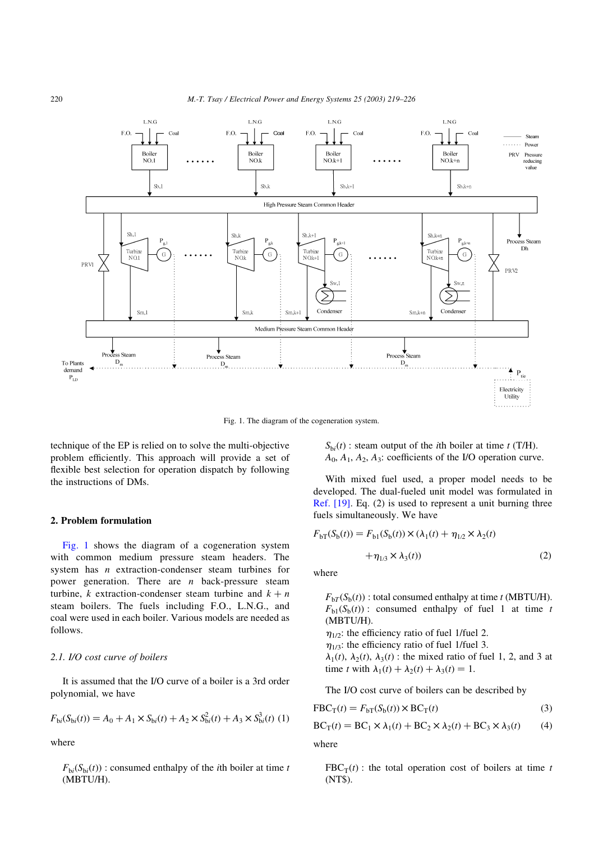

Fig. 1. The diagram of the cogeneration system.

technique of the EP is relied on to solve the multi-objective problem efficiently. This approach will provide a set of flexible best selection for operation dispatch by following the instructions of DMs.

### 2. Problem formulation

Fig. 1 shows the diagram of a cogeneration system with common medium pressure steam headers. The system has *n* extraction-condenser steam turbines for power generation. There are  $n$  back-pressure steam turbine, k extraction-condenser steam turbine and  $k + n$ steam boilers. The fuels including F.O., L.N.G., and coal were used in each boiler. Various models are needed as follows.

## 2.1. I/O cost curve of boilers

It is assumed that the I/O curve of a boiler is a 3rd order polynomial, we have

$$
F_{\text{bi}}(S_{\text{bi}}(t)) = A_0 + A_1 \times S_{\text{bi}}(t) + A_2 \times S_{\text{bi}}^2(t) + A_3 \times S_{\text{bi}}^3(t) \tag{1}
$$

where

 $F_{bi}(S_{bi}(t))$ : consumed enthalpy of the *i*th boiler at time *t* (MBTU/H).

 $S_{\text{bi}}(t)$ : steam output of the *i*th boiler at time t (T/H).  $A_0$ ,  $A_1$ ,  $A_2$ ,  $A_3$ : coefficients of the I/O operation curve.

With mixed fuel used, a proper model needs to be developed. The dual-fueled unit model was formulated in [Ref. \[19\].](#page--1-0) Eq. (2) is used to represent a unit burning three fuels simultaneously. We have

$$
F_{bT}(S_b(t)) = F_{b1}(S_b(t)) \times (\lambda_1(t) + \eta_{1/2} \times \lambda_2(t)
$$

$$
+ \eta_{1/3} \times \lambda_3(t))
$$
 (2)

where

 $F_{\text{bT}}(S_{\text{b}}(t))$ : total consumed enthalpy at time t (MBTU/H).  $F_{h1}(S_h(t))$ : consumed enthalpy of fuel 1 at time t (MBTU/H).  $\eta_{1/2}$ : the efficiency ratio of fuel 1/fuel 2.  $\eta_{1/3}$ : the efficiency ratio of fuel 1/fuel 3.  $\lambda_1(t)$ ,  $\lambda_2(t)$ ,  $\lambda_3(t)$ : the mixed ratio of fuel 1, 2, and 3 at time t with  $\lambda_1(t) + \lambda_2(t) + \lambda_3(t) = 1$ .

The I/O cost curve of boilers can be described by

$$
FBC_T(t) = F_{bT}(S_b(t)) \times BC_T(t)
$$
\n(3)

$$
BC_T(t) = BC_1 \times \lambda_1(t) + BC_2 \times \lambda_2(t) + BC_3 \times \lambda_3(t)
$$
 (4)

where

 $FBC_T(t)$ : the total operation cost of boilers at time t (NT\$).